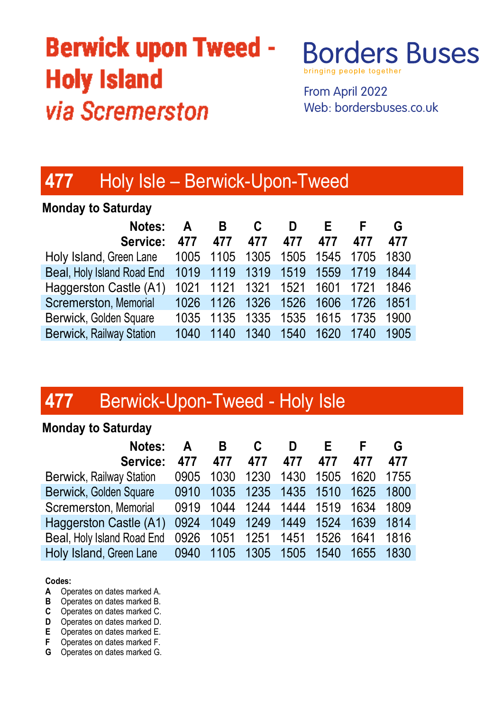# **Berwick upon Tweed -Holy Island via Scremerston**

**Borders Buses** bringing people toge

From April 2022 Web: bordersbuses.co.uk

### 477 Holy Isle – Berwick-Upon-Tweed

### Monday to Saturday

| A    | В    |      | D    | F.        |      | G                 |
|------|------|------|------|-----------|------|-------------------|
| 477  | 477  | 477  | 477  | 477       | 477  | 477               |
| 1005 | 1105 | 1305 | 1505 | 1545      | 1705 | 1830              |
| 1019 | 1119 | 1319 | 1519 | 1559      | 1719 | 1844              |
|      |      |      |      |           | 1721 | 1846              |
| 1026 | 1126 | 1326 | 1526 | 1606      | 1726 | 1851              |
| 1035 | 1135 | 1335 | 1535 |           |      | 1900              |
| 1040 | 1140 | 1340 | 1540 | 1620      | 1740 | 1905              |
|      |      | 1021 | 1121 | 1321 1521 |      | 1601<br>1615 1735 |

## 477 Berwick-Upon-Tweed - Holy Isle

#### Monday to Saturday

| <b>Notes:</b><br>Service:       | A<br>477 | B.<br>477 | C<br>477                      | D<br>477  | Е<br>477 | F<br>477 | G<br>477 |
|---------------------------------|----------|-----------|-------------------------------|-----------|----------|----------|----------|
| <b>Berwick, Railway Station</b> | 0905     | 1030      | 1230                          | 1430      | 1505     | 1620     | 1755     |
| Berwick, Golden Square          | 0910     | 1035      | 1235                          | 1435 1510 |          | 1625     | 1800     |
| Scremerston, Memorial           | 0919     |           | 1044 1244 1444                |           | 1519     | 1634     | 1809     |
| Haggerston Castle (A1)          |          |           | 0924 1049 1249 1449 1524 1639 |           |          |          | 1814     |
| Beal, Holy Island Road End      |          |           | 0926 1051 1251                | 1451      | 1526     | 1641     | 1816     |
| Holy Island, Green Lane         |          |           | 0940 1105 1305                | 1505 1540 |          | 1655     | 1830     |

#### Codes:

- A Operates on dates marked A.
- **B** Operates on dates marked B.
- C Operates on dates marked C.
- D Operates on dates marked D.
- **E** Operates on dates marked E.<br>**F** Operates on dates marked F.
- Operates on dates marked F.
- G Operates on dates marked G.